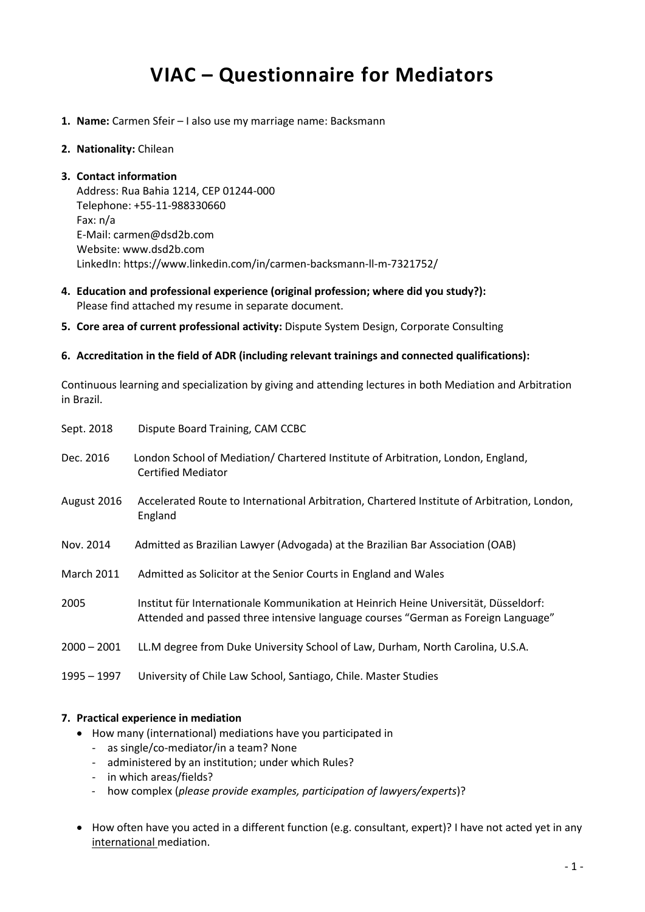# **VIAC – Questionnaire for Mediators**

- **1. Name:** Carmen Sfeir I also use my marriage name: Backsmann
- **2. Nationality:** Chilean

**3. Contact information** Address: Rua Bahia 1214, CEP 01244-000 Telephone: +55-11-988330660 Fax: n/a E-Mail: carmen@dsd2b.com Website: www.dsd2b.com LinkedIn: https://www.linkedin.com/in/carmen-backsmann-ll-m-7321752/

- **4. Education and professional experience (original profession; where did you study?):** Please find attached my resume in separate document.
- **5. Core area of current professional activity:** Dispute System Design, Corporate Consulting

#### **6. Accreditation in the field of ADR (including relevant trainings and connected qualifications):**

Continuous learning and specialization by giving and attending lectures in both Mediation and Arbitration in Brazil.

| Sept. 2018        | Dispute Board Training, CAM CCBC                                                                                                                                          |
|-------------------|---------------------------------------------------------------------------------------------------------------------------------------------------------------------------|
| Dec. 2016         | London School of Mediation/ Chartered Institute of Arbitration, London, England,<br><b>Certified Mediator</b>                                                             |
| August 2016       | Accelerated Route to International Arbitration, Chartered Institute of Arbitration, London,<br>England                                                                    |
| Nov. 2014         | Admitted as Brazilian Lawyer (Advogada) at the Brazilian Bar Association (OAB)                                                                                            |
| <b>March 2011</b> | Admitted as Solicitor at the Senior Courts in England and Wales                                                                                                           |
| 2005              | Institut für Internationale Kommunikation at Heinrich Heine Universität, Düsseldorf:<br>Attended and passed three intensive language courses "German as Foreign Language" |
| $2000 - 2001$     | LL.M degree from Duke University School of Law, Durham, North Carolina, U.S.A.                                                                                            |
| 1995 – 1997       | University of Chile Law School, Santiago, Chile. Master Studies                                                                                                           |

# **7. Practical experience in mediation**

- How many (international) mediations have you participated in
	- as single/co-mediator/in a team? None
	- administered by an institution; under which Rules?
	- in which areas/fields?
	- how complex (*please provide examples, participation of lawyers/experts*)?
- How often have you acted in a different function (e.g. consultant, expert)? I have not acted yet in any international mediation.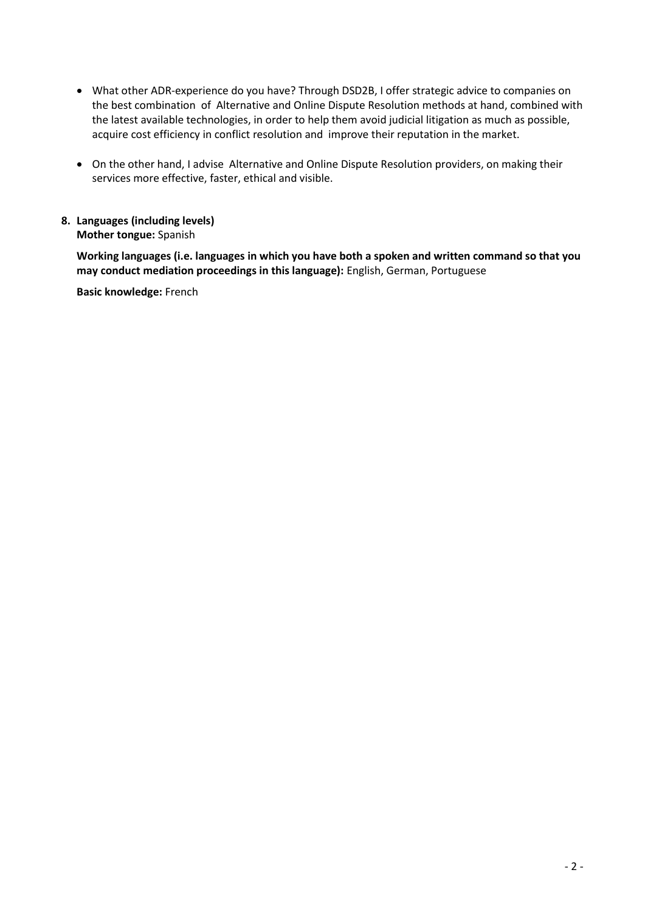- What other ADR-experience do you have? Through DSD2B, I offer strategic advice to companies on the best combination of Alternative and Online Dispute Resolution methods at hand, combined with the latest available technologies, in order to help them avoid judicial litigation as much as possible, acquire cost efficiency in conflict resolution and improve their reputation in the market.
- On the other hand, I advise Alternative and Online Dispute Resolution providers, on making their services more effective, faster, ethical and visible.
- **8. Languages (including levels) Mother tongue:** Spanish

**Working languages (i.e. languages in which you have both a spoken and written command so that you may conduct mediation proceedings in this language):** English, German, Portuguese

**Basic knowledge:** French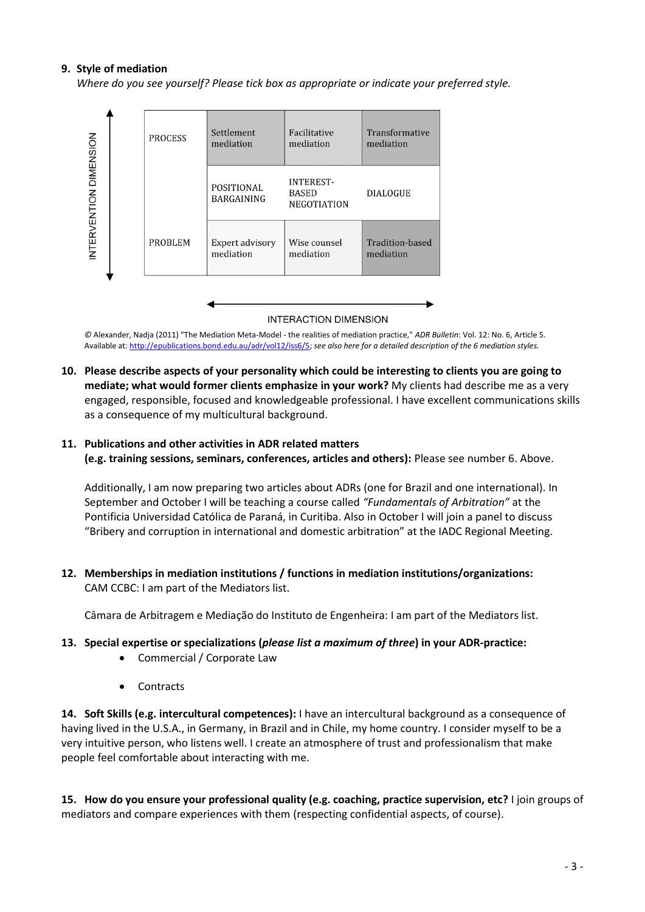#### **9. Style of mediation**

*Where do you see yourself? Please tick box as appropriate or indicate your preferred style.*



**INTERACTION DIMENSION** 

*©* Alexander, Nadja (2011) "The Mediation Meta-Model - the realities of mediation practice," *ADR Bulletin*: Vol. 12: No. 6, Article 5. Available at: [http://epublications.bond.edu.au/adr/vol12/iss6/5;](http://epublications.bond.edu.au/adr/vol12/iss6/5) *see also here for a detailed description of the 6 mediation styles.*

**10. Please describe aspects of your personality which could be interesting to clients you are going to mediate; what would former clients emphasize in your work?** My clients had describe me as a very engaged, responsible, focused and knowledgeable professional. I have excellent communications skills as a consequence of my multicultural background.

# **11. Publications and other activities in ADR related matters (e.g. training sessions, seminars, conferences, articles and others):** Please see number 6. Above.

Additionally, I am now preparing two articles about ADRs (one for Brazil and one international). In September and October I will be teaching a course called *"Fundamentals of Arbitration"* at the Pontificia Universidad Católica de Paraná, in Curitiba. Also in October I will join a panel to discuss "Bribery and corruption in international and domestic arbitration" at the IADC Regional Meeting.

**12. Memberships in mediation institutions / functions in mediation institutions/organizations:** CAM CCBC: I am part of the Mediators list.

Câmara de Arbitragem e Mediação do Instituto de Engenheira: I am part of the Mediators list.

# **13. Special expertise or specializations (***please list a maximum of three***) in your ADR-practice:**

- Commercial / Corporate Law
- **Contracts**

**14. Soft Skills (e.g. intercultural competences):** I have an intercultural background as a consequence of having lived in the U.S.A., in Germany, in Brazil and in Chile, my home country. I consider myself to be a very intuitive person, who listens well. I create an atmosphere of trust and professionalism that make people feel comfortable about interacting with me.

**15. How do you ensure your professional quality (e.g. coaching, practice supervision, etc?** I join groups of mediators and compare experiences with them (respecting confidential aspects, of course).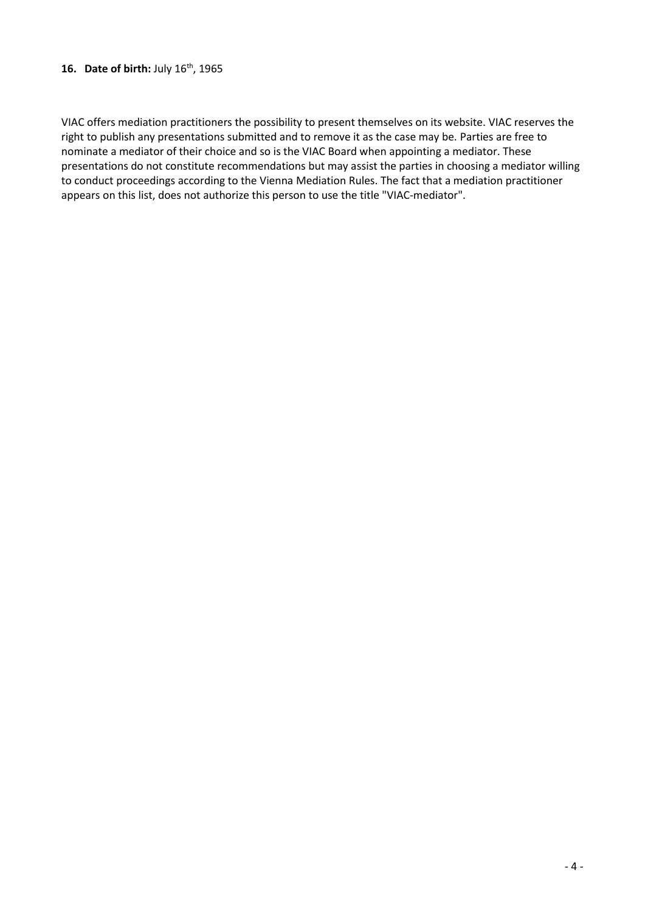## **16. Date of birth:** July 16th, 1965

VIAC offers mediation practitioners the possibility to present themselves on its website. VIAC reserves the right to publish any presentations submitted and to remove it as the case may be. Parties are free to nominate a mediator of their choice and so is the VIAC Board when appointing a mediator. These presentations do not constitute recommendations but may assist the parties in choosing a mediator willing to conduct proceedings according to the Vienna Mediation Rules. The fact that a mediation practitioner appears on this list, does not authorize this person to use the title "VIAC-mediator".